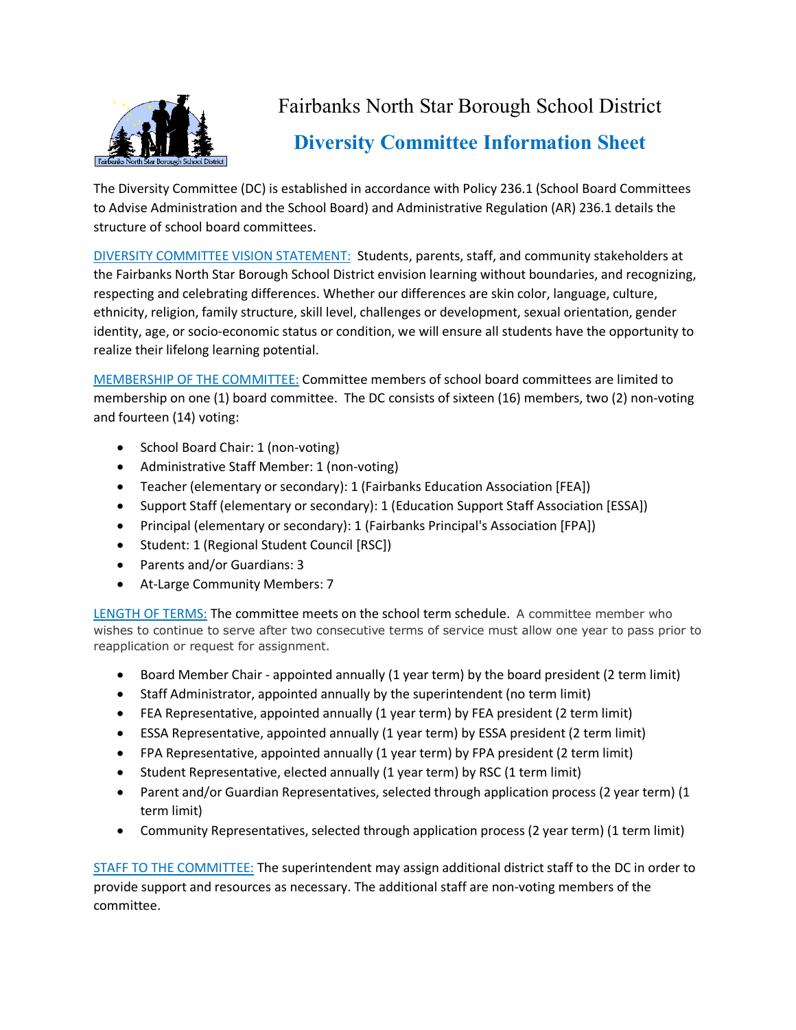

## Fairbanks North Star Borough School District **Diversity Committee Information Sheet**

The Diversity Committee (DC) is established in accordance with Policy 236.1 (School Board Committees to Advise Administration and the School Board) and Administrative Regulation (AR) 236.1 details the structure of school board committees.

DIVERSITY COMMITTEE VISION STATEMENT: Students, parents, staff, and community stakeholders at the Fairbanks North Star Borough School District envision learning without boundaries, and recognizing, respecting and celebrating differences. Whether our differences are skin color, language, culture, ethnicity, religion, family structure, skill level, challenges or development, sexual orientation, gender identity, age, or socio-economic status or condition, we will ensure all students have the opportunity to realize their lifelong learning potential.

MEMBERSHIP OF THE COMMITTEE: Committee members of school board committees are limited to membership on one (1) board committee. The DC consists of sixteen (16) members, two (2) non-voting and fourteen (14) voting:

- School Board Chair: 1 (non-voting)
- Administrative Staff Member: 1 (non-voting)
- Teacher (elementary or secondary): 1 (Fairbanks Education Association [FEA])
- Support Staff (elementary or secondary): 1 (Education Support Staff Association [ESSA])
- Principal (elementary or secondary): 1 (Fairbanks Principal's Association [FPA])
- Student: 1 (Regional Student Council [RSC])
- Parents and/or Guardians: 3
- At-Large Community Members: 7

LENGTH OF TERMS: The committee meets on the school term schedule. A committee member who wishes to continue to serve after two consecutive terms of service must allow one year to pass prior to reapplication or request for assignment.

- Board Member Chair appointed annually (1 year term) by the board president (2 term limit)
- Staff Administrator, appointed annually by the superintendent (no term limit)
- FEA Representative, appointed annually (1 year term) by FEA president (2 term limit)
- ESSA Representative, appointed annually (1 year term) by ESSA president (2 term limit)
- FPA Representative, appointed annually (1 year term) by FPA president (2 term limit)
- Student Representative, elected annually (1 year term) by RSC (1 term limit)
- Parent and/or Guardian Representatives, selected through application process (2 year term) (1 term limit)
- Community Representatives, selected through application process (2 year term) (1 term limit)

STAFF TO THE COMMITTEE: The superintendent may assign additional district staff to the DC in order to provide support and resources as necessary. The additional staff are non-voting members of the committee.